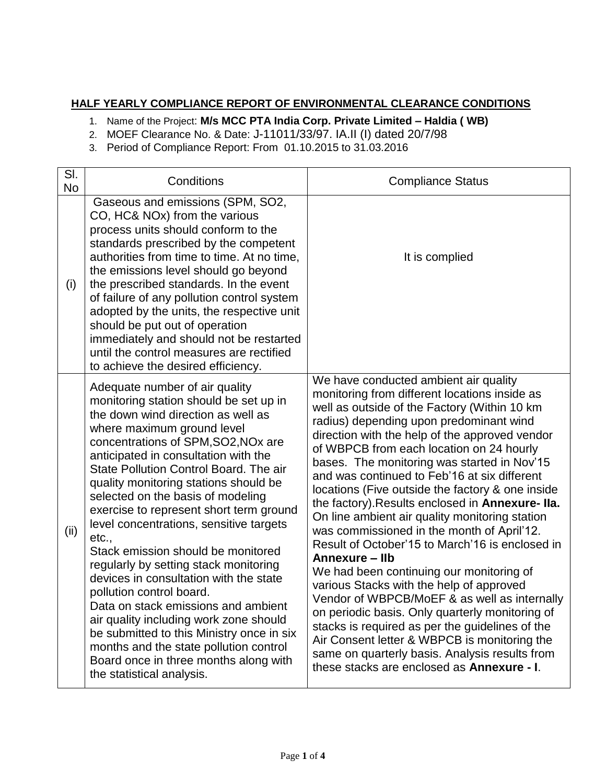## **HALF YEARLY COMPLIANCE REPORT OF ENVIRONMENTAL CLEARANCE CONDITIONS**

1. Name of the Project: **M/s MCC PTA India Corp. Private Limited – Haldia ( WB)**

2. MOEF Clearance No. & Date: J-11011/33/97. IA.II (I) dated 20/7/98

3. Period of Compliance Report: From 01.10.2015 to 31.03.2016

| SI.<br><b>No</b> | Conditions                                                                                                                                                                                                                                                                                                                                                                                                                                                                                                                                                                                                                                                                                                                                                                                                                                                        | <b>Compliance Status</b>                                                                                                                                                                                                                                                                                                                                                                                                                                                                                                                                                                                                                                                                                                                                                                                                                                                                                                                                                                                                                                 |
|------------------|-------------------------------------------------------------------------------------------------------------------------------------------------------------------------------------------------------------------------------------------------------------------------------------------------------------------------------------------------------------------------------------------------------------------------------------------------------------------------------------------------------------------------------------------------------------------------------------------------------------------------------------------------------------------------------------------------------------------------------------------------------------------------------------------------------------------------------------------------------------------|----------------------------------------------------------------------------------------------------------------------------------------------------------------------------------------------------------------------------------------------------------------------------------------------------------------------------------------------------------------------------------------------------------------------------------------------------------------------------------------------------------------------------------------------------------------------------------------------------------------------------------------------------------------------------------------------------------------------------------------------------------------------------------------------------------------------------------------------------------------------------------------------------------------------------------------------------------------------------------------------------------------------------------------------------------|
| (i)              | Gaseous and emissions (SPM, SO2,<br>CO, HC& NOx) from the various<br>process units should conform to the<br>standards prescribed by the competent<br>authorities from time to time. At no time,<br>the emissions level should go beyond<br>the prescribed standards. In the event<br>of failure of any pollution control system<br>adopted by the units, the respective unit<br>should be put out of operation<br>immediately and should not be restarted<br>until the control measures are rectified<br>to achieve the desired efficiency.                                                                                                                                                                                                                                                                                                                       | It is complied                                                                                                                                                                                                                                                                                                                                                                                                                                                                                                                                                                                                                                                                                                                                                                                                                                                                                                                                                                                                                                           |
| (ii)             | Adequate number of air quality<br>monitoring station should be set up in<br>the down wind direction as well as<br>where maximum ground level<br>concentrations of SPM, SO2, NO <sub>x</sub> are<br>anticipated in consultation with the<br>State Pollution Control Board. The air<br>quality monitoring stations should be<br>selected on the basis of modeling<br>exercise to represent short term ground<br>level concentrations, sensitive targets<br>etc.,<br>Stack emission should be monitored<br>regularly by setting stack monitoring<br>devices in consultation with the state<br>pollution control board.<br>Data on stack emissions and ambient<br>air quality including work zone should<br>be submitted to this Ministry once in six<br>months and the state pollution control<br>Board once in three months along with<br>the statistical analysis. | We have conducted ambient air quality<br>monitoring from different locations inside as<br>well as outside of the Factory (Within 10 km<br>radius) depending upon predominant wind<br>direction with the help of the approved vendor<br>of WBPCB from each location on 24 hourly<br>bases. The monitoring was started in Nov'15<br>and was continued to Feb'16 at six different<br>locations (Five outside the factory & one inside<br>the factory). Results enclosed in Annexure-Ila.<br>On line ambient air quality monitoring station<br>was commissioned in the month of April'12.<br>Result of October'15 to March'16 is enclosed in<br>Annexure - Ilb<br>We had been continuing our monitoring of<br>various Stacks with the help of approved<br>Vendor of WBPCB/MoEF & as well as internally<br>on periodic basis. Only quarterly monitoring of<br>stacks is required as per the guidelines of the<br>Air Consent letter & WBPCB is monitoring the<br>same on quarterly basis. Analysis results from<br>these stacks are enclosed as Annexure - I. |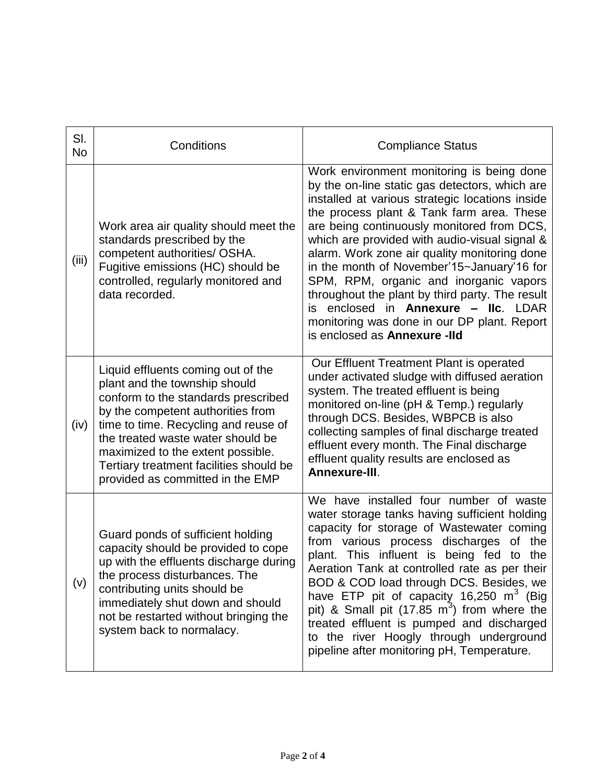| SI.<br><b>No</b> | Conditions                                                                                                                                                                                                                                                                                                                                       | <b>Compliance Status</b>                                                                                                                                                                                                                                                                                                                                                                                                                                                                                                                                                                                               |
|------------------|--------------------------------------------------------------------------------------------------------------------------------------------------------------------------------------------------------------------------------------------------------------------------------------------------------------------------------------------------|------------------------------------------------------------------------------------------------------------------------------------------------------------------------------------------------------------------------------------------------------------------------------------------------------------------------------------------------------------------------------------------------------------------------------------------------------------------------------------------------------------------------------------------------------------------------------------------------------------------------|
| (iii)            | Work area air quality should meet the<br>standards prescribed by the<br>competent authorities/ OSHA.<br>Fugitive emissions (HC) should be<br>controlled, regularly monitored and<br>data recorded.                                                                                                                                               | Work environment monitoring is being done<br>by the on-line static gas detectors, which are<br>installed at various strategic locations inside<br>the process plant & Tank farm area. These<br>are being continuously monitored from DCS,<br>which are provided with audio-visual signal &<br>alarm. Work zone air quality monitoring done<br>in the month of November'15~January'16 for<br>SPM, RPM, organic and inorganic vapors<br>throughout the plant by third party. The result<br>enclosed in <b>Annexure - IIc.</b> LDAR<br>is.<br>monitoring was done in our DP plant. Report<br>is enclosed as Annexure -IId |
| (iv)             | Liquid effluents coming out of the<br>plant and the township should<br>conform to the standards prescribed<br>by the competent authorities from<br>time to time. Recycling and reuse of<br>the treated waste water should be<br>maximized to the extent possible.<br>Tertiary treatment facilities should be<br>provided as committed in the EMP | Our Effluent Treatment Plant is operated<br>under activated sludge with diffused aeration<br>system. The treated effluent is being<br>monitored on-line (pH & Temp.) regularly<br>through DCS. Besides, WBPCB is also<br>collecting samples of final discharge treated<br>effluent every month. The Final discharge<br>effluent quality results are enclosed as<br>Annexure-III.                                                                                                                                                                                                                                       |
| (v)              | Guard ponds of sufficient holding<br>capacity should be provided to cope<br>up with the effluents discharge during<br>the process disturbances. The<br>contributing units should be<br>immediately shut down and should<br>not be restarted without bringing the<br>system back to normalacy.                                                    | We have installed four number of waste<br>water storage tanks having sufficient holding<br>capacity for storage of Wastewater coming<br>from various process discharges<br>of the<br>plant. This influent is being fed to the<br>Aeration Tank at controlled rate as per their<br>BOD & COD load through DCS. Besides, we<br>have ETP pit of capacity 16,250 $m^3$ (Big<br>pit) & Small pit (17.85 m <sup>3</sup> ) from where the<br>treated effluent is pumped and discharged<br>to the river Hoogly through underground<br>pipeline after monitoring pH, Temperature.                                               |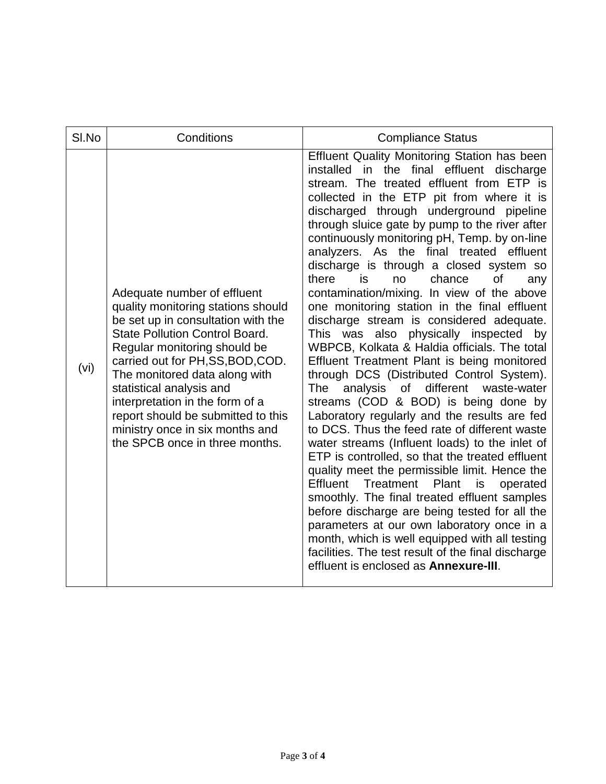| SI.No | Conditions                                                                                                                                                                                                                                                                                                                                                                                                                       | <b>Compliance Status</b>                                                                                                                                                                                                                                                                                                                                                                                                                                                                                                                                                                                                                                                                                                                                                                                                                                                                                                                                                                                                                                                                                                                                                                                                                                                                                                                                                                                                                                                                                                                   |
|-------|----------------------------------------------------------------------------------------------------------------------------------------------------------------------------------------------------------------------------------------------------------------------------------------------------------------------------------------------------------------------------------------------------------------------------------|--------------------------------------------------------------------------------------------------------------------------------------------------------------------------------------------------------------------------------------------------------------------------------------------------------------------------------------------------------------------------------------------------------------------------------------------------------------------------------------------------------------------------------------------------------------------------------------------------------------------------------------------------------------------------------------------------------------------------------------------------------------------------------------------------------------------------------------------------------------------------------------------------------------------------------------------------------------------------------------------------------------------------------------------------------------------------------------------------------------------------------------------------------------------------------------------------------------------------------------------------------------------------------------------------------------------------------------------------------------------------------------------------------------------------------------------------------------------------------------------------------------------------------------------|
| (vi)  | Adequate number of effluent<br>quality monitoring stations should<br>be set up in consultation with the<br><b>State Pollution Control Board.</b><br>Regular monitoring should be<br>carried out for PH, SS, BOD, COD.<br>The monitored data along with<br>statistical analysis and<br>interpretation in the form of a<br>report should be submitted to this<br>ministry once in six months and<br>the SPCB once in three months. | <b>Effluent Quality Monitoring Station has been</b><br>in the final effluent discharge<br>installed<br>stream. The treated effluent from ETP is<br>collected in the ETP pit from where it is<br>discharged through underground pipeline<br>through sluice gate by pump to the river after<br>continuously monitoring pH, Temp. by on-line<br>analyzers. As the final treated effluent<br>discharge is through a closed system so<br>there<br>chance<br>is<br><b>of</b><br>no<br>any<br>contamination/mixing. In view of the above<br>one monitoring station in the final effluent<br>discharge stream is considered adequate.<br>This was also physically inspected by<br>WBPCB, Kolkata & Haldia officials. The total<br>Effluent Treatment Plant is being monitored<br>through DCS (Distributed Control System).<br><b>The</b><br>analysis of different<br>waste-water<br>streams (COD & BOD) is being done by<br>Laboratory regularly and the results are fed<br>to DCS. Thus the feed rate of different waste<br>water streams (Influent loads) to the inlet of<br>ETP is controlled, so that the treated effluent<br>quality meet the permissible limit. Hence the<br><b>Effluent</b><br>Treatment<br>Plant<br>is<br>operated<br>smoothly. The final treated effluent samples<br>before discharge are being tested for all the<br>parameters at our own laboratory once in a<br>month, which is well equipped with all testing<br>facilities. The test result of the final discharge<br>effluent is enclosed as <b>Annexure-III</b> . |